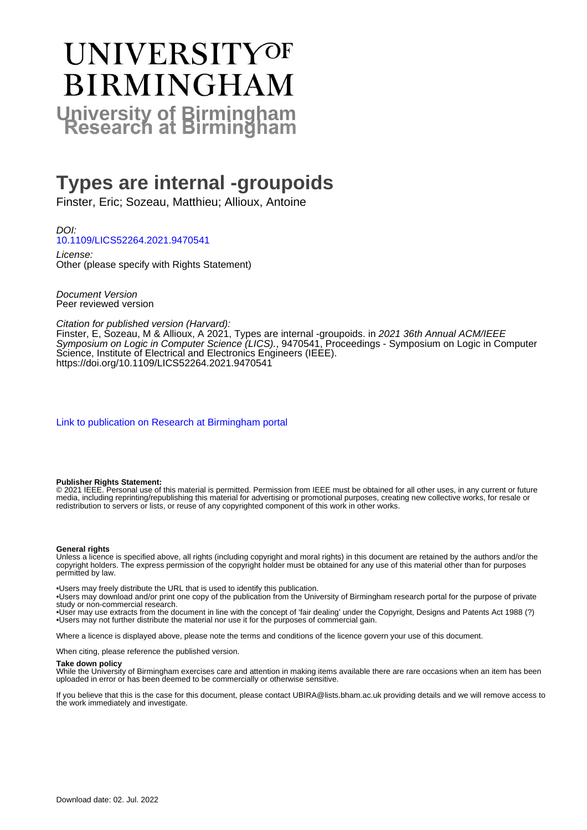# UNIVERSITYOF **BIRMINGHAM University of Birmingham**

# **Types are internal -groupoids**

Finster, Eric; Sozeau, Matthieu; Allioux, Antoine

DOI: [10.1109/LICS52264.2021.9470541](https://doi.org/10.1109/LICS52264.2021.9470541)

License: Other (please specify with Rights Statement)

Document Version Peer reviewed version

Citation for published version (Harvard):

Finster, E, Sozeau, M & Allioux, A 2021, Types are internal -groupoids. in 2*021 36th Annual ACM/IEEE* Symposium on Logic in Computer Science (LICS)., 9470541, Proceedings - Symposium on Logic in Computer Science, Institute of Electrical and Electronics Engineers (IEEE). <https://doi.org/10.1109/LICS52264.2021.9470541>

[Link to publication on Research at Birmingham portal](https://birmingham.elsevierpure.com/en/publications/7d45301f-cf55-4451-b47a-727968158b79)

# **Publisher Rights Statement:**

© 2021 IEEE. Personal use of this material is permitted. Permission from IEEE must be obtained for all other uses, in any current or future media, including reprinting/republishing this material for advertising or promotional purposes, creating new collective works, for resale or redistribution to servers or lists, or reuse of any copyrighted component of this work in other works.

#### **General rights**

Unless a licence is specified above, all rights (including copyright and moral rights) in this document are retained by the authors and/or the copyright holders. The express permission of the copyright holder must be obtained for any use of this material other than for purposes permitted by law.

• Users may freely distribute the URL that is used to identify this publication.

• Users may download and/or print one copy of the publication from the University of Birmingham research portal for the purpose of private study or non-commercial research.

• User may use extracts from the document in line with the concept of 'fair dealing' under the Copyright, Designs and Patents Act 1988 (?) • Users may not further distribute the material nor use it for the purposes of commercial gain.

Where a licence is displayed above, please note the terms and conditions of the licence govern your use of this document.

When citing, please reference the published version.

#### **Take down policy**

While the University of Birmingham exercises care and attention in making items available there are rare occasions when an item has been uploaded in error or has been deemed to be commercially or otherwise sensitive.

If you believe that this is the case for this document, please contact UBIRA@lists.bham.ac.uk providing details and we will remove access to the work immediately and investigate.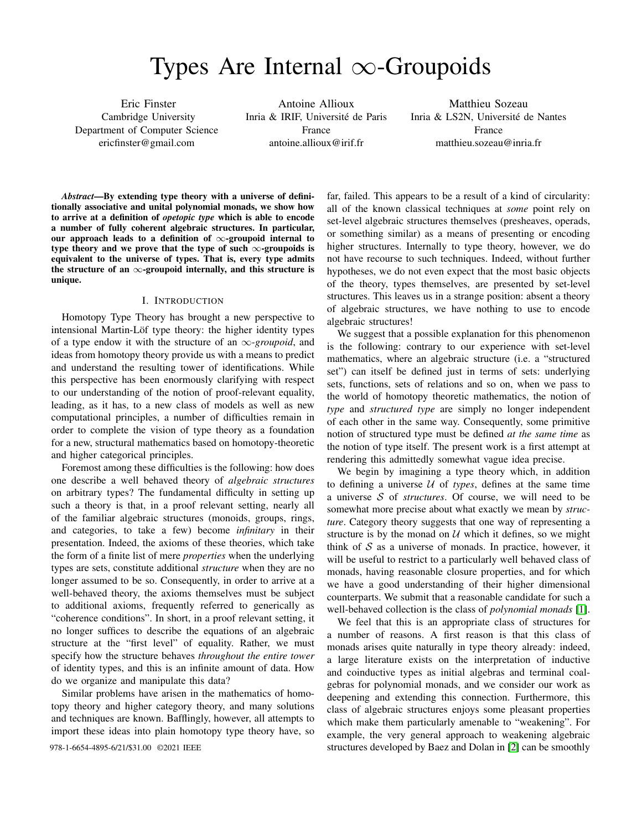# Types Are Internal  $\infty$ -Groupoids

<span id="page-1-0"></span>Eric Finster Cambridge University Department of Computer Science ericfinster@gmail.com

Antoine Allioux Inria & IRIF, Université de Paris France antoine.allioux@irif.fr

Matthieu Sozeau Inria & LS2N, Université de Nantes France matthieu.sozeau@inria.fr

*Abstract*—By extending type theory with a universe of definitionally associative and unital polynomial monads, we show how to arrive at a definition of *opetopic type* which is able to encode a number of fully coherent algebraic structures. In particular, our approach leads to a definition of  $\infty$ -groupoid internal to type theory and we prove that the type of such  $\infty$ -groupoids is equivalent to the universe of types. That is, every type admits the structure of an  $\infty$ -groupoid internally, and this structure is unique.

#### I. INTRODUCTION

Homotopy Type Theory has brought a new perspective to intensional Martin-Löf type theory: the higher identity types of a type endow it with the structure of an ∞*-groupoid*, and ideas from homotopy theory provide us with a means to predict and understand the resulting tower of identifications. While this perspective has been enormously clarifying with respect to our understanding of the notion of proof-relevant equality, leading, as it has, to a new class of models as well as new computational principles, a number of difficulties remain in order to complete the vision of type theory as a foundation for a new, structural mathematics based on homotopy-theoretic and higher categorical principles.

Foremost among these difficulties is the following: how does one describe a well behaved theory of *algebraic structures* on arbitrary types? The fundamental difficulty in setting up such a theory is that, in a proof relevant setting, nearly all of the familiar algebraic structures (monoids, groups, rings, and categories, to take a few) become *infinitary* in their presentation. Indeed, the axioms of these theories, which take the form of a finite list of mere *properties* when the underlying types are sets, constitute additional *structure* when they are no longer assumed to be so. Consequently, in order to arrive at a well-behaved theory, the axioms themselves must be subject to additional axioms, frequently referred to generically as "coherence conditions". In short, in a proof relevant setting, it no longer suffices to describe the equations of an algebraic structure at the "first level" of equality. Rather, we must specify how the structure behaves *throughout the entire tower* of identity types, and this is an infinite amount of data. How do we organize and manipulate this data?

Similar problems have arisen in the mathematics of homotopy theory and higher category theory, and many solutions and techniques are known. Bafflingly, however, all attempts to import these ideas into plain homotopy type theory have, so

far, failed. This appears to be a result of a kind of circularity: all of the known classical techniques at *some* point rely on set-level algebraic structures themselves (presheaves, operads, or something similar) as a means of presenting or encoding higher structures. Internally to type theory, however, we do not have recourse to such techniques. Indeed, without further hypotheses, we do not even expect that the most basic objects of the theory, types themselves, are presented by set-level structures. This leaves us in a strange position: absent a theory of algebraic structures, we have nothing to use to encode algebraic structures!

We suggest that a possible explanation for this phenomenon is the following: contrary to our experience with set-level mathematics, where an algebraic structure (i.e. a "structured set") can itself be defined just in terms of sets: underlying sets, functions, sets of relations and so on, when we pass to the world of homotopy theoretic mathematics, the notion of *type* and *structured type* are simply no longer independent of each other in the same way. Consequently, some primitive notion of structured type must be defined *at the same time* as the notion of type itself. The present work is a first attempt at rendering this admittedly somewhat vague idea precise.

We begin by imagining a type theory which, in addition to defining a universe  $U$  of *types*, defines at the same time a universe S of *structures*. Of course, we will need to be somewhat more precise about what exactly we mean by *structure*. Category theory suggests that one way of representing a structure is by the monad on  $U$  which it defines, so we might think of  $S$  as a universe of monads. In practice, however, it will be useful to restrict to a particularly well behaved class of monads, having reasonable closure properties, and for which we have a good understanding of their higher dimensional counterparts. We submit that a reasonable candidate for such a well-behaved collection is the class of *polynomial monads* [\[1\]](#page-13-0).

We feel that this is an appropriate class of structures for a number of reasons. A first reason is that this class of monads arises quite naturally in type theory already: indeed, a large literature exists on the interpretation of inductive and coinductive types as initial algebras and terminal coalgebras for polynomial monads, and we consider our work as deepening and extending this connection. Furthermore, this class of algebraic structures enjoys some pleasant properties which make them particularly amenable to "weakening". For example, the very general approach to weakening algebraic 978-1-6654-4895-6/21/\$31.00 ©2021 IEEE structures developed by Baez and Dolan in [\[2\]](#page-13-1) can be smoothly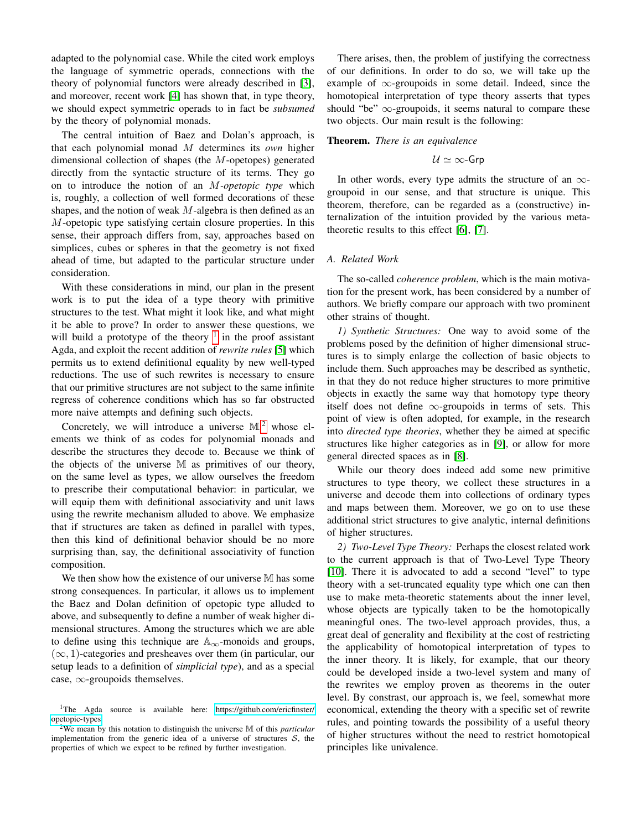adapted to the polynomial case. While the cited work employs the language of symmetric operads, connections with the theory of polynomial functors were already described in [\[3\]](#page-13-2), and moreover, recent work [\[4\]](#page-13-3) has shown that, in type theory, we should expect symmetric operads to in fact be *subsumed* by the theory of polynomial monads.

The central intuition of Baez and Dolan's approach, is that each polynomial monad M determines its *own* higher dimensional collection of shapes (the M-opetopes) generated directly from the syntactic structure of its terms. They go on to introduce the notion of an M*-opetopic type* which is, roughly, a collection of well formed decorations of these shapes, and the notion of weak  $M$ -algebra is then defined as an M-opetopic type satisfying certain closure properties. In this sense, their approach differs from, say, approaches based on simplices, cubes or spheres in that the geometry is not fixed ahead of time, but adapted to the particular structure under consideration.

With these considerations in mind, our plan in the present work is to put the idea of a type theory with primitive structures to the test. What might it look like, and what might it be able to prove? In order to answer these questions, we will build a prototype of the theory  $1$  in the proof assistant Agda, and exploit the recent addition of *rewrite rules* [\[5\]](#page-13-4) which permits us to extend definitional equality by new well-typed reductions. The use of such rewrites is necessary to ensure that our primitive structures are not subject to the same infinite regress of coherence conditions which has so far obstructed more naive attempts and defining such objects.

Concretely, we will introduce a universe  $\mathbb{M},^2$  $\mathbb{M},^2$  whose elements we think of as codes for polynomial monads and describe the structures they decode to. Because we think of the objects of the universe M as primitives of our theory, on the same level as types, we allow ourselves the freedom to prescribe their computational behavior: in particular, we will equip them with definitional associativity and unit laws using the rewrite mechanism alluded to above. We emphasize that if structures are taken as defined in parallel with types, then this kind of definitional behavior should be no more surprising than, say, the definitional associativity of function composition.

We then show how the existence of our universe M has some strong consequences. In particular, it allows us to implement the Baez and Dolan definition of opetopic type alluded to above, and subsequently to define a number of weak higher dimensional structures. Among the structures which we are able to define using this technique are  $\mathbb{A}_{\infty}$ -monoids and groups,  $(\infty, 1)$ -categories and presheaves over them (in particular, our setup leads to a definition of *simplicial type*), and as a special case,  $\infty$ -groupoids themselves.

There arises, then, the problem of justifying the correctness of our definitions. In order to do so, we will take up the example of  $\infty$ -groupoids in some detail. Indeed, since the homotopical interpretation of type theory asserts that types should "be"  $\infty$ -groupoids, it seems natural to compare these two objects. Our main result is the following:

Theorem. *There is an equivalence*

$$
\mathcal{U} \simeq \infty\text{-}\mathsf{Grp}
$$

In other words, every type admits the structure of an  $\infty$ groupoid in our sense, and that structure is unique. This theorem, therefore, can be regarded as a (constructive) internalization of the intuition provided by the various metatheoretic results to this effect [\[6\]](#page-13-5), [\[7\]](#page-13-6).

#### *A. Related Work*

The so-called *coherence problem*, which is the main motivation for the present work, has been considered by a number of authors. We briefly compare our approach with two prominent other strains of thought.

*1) Synthetic Structures:* One way to avoid some of the problems posed by the definition of higher dimensional structures is to simply enlarge the collection of basic objects to include them. Such approaches may be described as synthetic, in that they do not reduce higher structures to more primitive objects in exactly the same way that homotopy type theory itself does not define  $\infty$ -groupoids in terms of sets. This point of view is often adopted, for example, in the research into *directed type theories*, whether they be aimed at specific structures like higher categories as in [\[9\]](#page-13-7), or allow for more general directed spaces as in [\[8\]](#page-13-8).

While our theory does indeed add some new primitive structures to type theory, we collect these structures in a universe and decode them into collections of ordinary types and maps between them. Moreover, we go on to use these additional strict structures to give analytic, internal definitions of higher structures.

*2) Two-Level Type Theory:* Perhaps the closest related work to the current approach is that of Two-Level Type Theory [\[10\]](#page-13-9). There it is advocated to add a second "level" to type theory with a set-truncated equality type which one can then use to make meta-theoretic statements about the inner level, whose objects are typically taken to be the homotopically meaningful ones. The two-level approach provides, thus, a great deal of generality and flexibility at the cost of restricting the applicability of homotopical interpretation of types to the inner theory. It is likely, for example, that our theory could be developed inside a two-level system and many of the rewrites we employ proven as theorems in the outer level. By constrast, our approach is, we feel, somewhat more economical, extending the theory with a specific set of rewrite rules, and pointing towards the possibility of a useful theory of higher structures without the need to restrict homotopical principles like univalence.

<span id="page-2-0"></span><sup>1</sup>The Agda source is available here: [https://github.com/ericfinster/](https://github.com/ericfinster/opetopic-types) [opetopic-types](https://github.com/ericfinster/opetopic-types)

<span id="page-2-1"></span><sup>2</sup>We mean by this notation to distinguish the universe M of this *particular* implementation from the generic idea of a universe of structures  $S$ , the properties of which we expect to be refined by further investigation.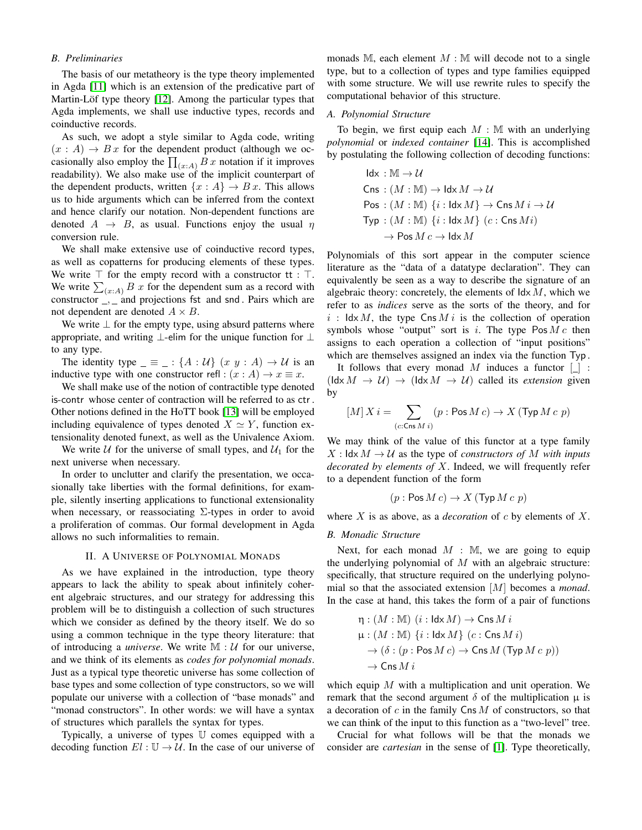# *B. Preliminaries*

The basis of our metatheory is the type theory implemented in Agda [\[11\]](#page-13-10) which is an extension of the predicative part of Martin-Löf type theory [\[12\]](#page-13-11). Among the particular types that Agda implements, we shall use inductive types, records and coinductive records.

As such, we adopt a style similar to Agda code, writing  $(x : A) \rightarrow Bx$  for the dependent product (although we occasionally also employ the  $\prod_{(x:A)} B x$  notation if it improves readability). We also make use of the implicit counterpart of the dependent products, written  $\{x : A\} \rightarrow B x$ . This allows us to hide arguments which can be inferred from the context and hence clarify our notation. Non-dependent functions are denoted  $A \rightarrow B$ , as usual. Functions enjoy the usual  $\eta$ conversion rule.

We shall make extensive use of coinductive record types, as well as copatterns for producing elements of these types. We write  $\top$  for the empty record with a constructor  $tt : \top$ . We write  $\sum_{(x:A)} B x$  for the dependent sum as a record with constructor  $\lambda$ , and projections fst and snd. Pairs which are not dependent are denoted  $A \times B$ .

We write  $\perp$  for the empty type, using absurd patterns where appropriate, and writing ⊥-elim for the unique function for ⊥ to any type.

The identity type  $\equiv$   $\equiv$   $\equiv$   $\{A : U\}$   $(x, y : A) \rightarrow U$  is an inductive type with one constructor refl :  $(x : A) \rightarrow x \equiv x$ .

We shall make use of the notion of contractible type denoted is-contr whose center of contraction will be referred to as ctr . Other notions defined in the HoTT book [\[13\]](#page-13-12) will be employed including equivalence of types denoted  $X \simeq Y$ , function extensionality denoted funext, as well as the Univalence Axiom.

We write  $U$  for the universe of small types, and  $U_1$  for the next universe when necessary.

In order to unclutter and clarify the presentation, we occasionally take liberties with the formal definitions, for example, silently inserting applications to functional extensionality when necessary, or reassociating  $\Sigma$ -types in order to avoid a proliferation of commas. Our formal development in Agda allows no such informalities to remain.

#### II. A UNIVERSE OF POLYNOMIAL MONADS

As we have explained in the introduction, type theory appears to lack the ability to speak about infinitely coherent algebraic structures, and our strategy for addressing this problem will be to distinguish a collection of such structures which we consider as defined by the theory itself. We do so using a common technique in the type theory literature: that of introducing a *universe*. We write M : U for our universe, and we think of its elements as *codes for polynomial monads*. Just as a typical type theoretic universe has some collection of base types and some collection of type constructors, so we will populate our universe with a collection of "base monads" and "monad constructors". In other words: we will have a syntax of structures which parallels the syntax for types.

Typically, a universe of types U comes equipped with a decoding function  $El : \mathbb{U} \to \mathcal{U}$ . In the case of our universe of monads M, each element  $M : \mathbb{M}$  will decode not to a single type, but to a collection of types and type families equipped with some structure. We will use rewrite rules to specify the computational behavior of this structure.

#### *A. Polynomial Structure*

To begin, we first equip each  $M : \mathbb{M}$  with an underlying *polynomial* or *indexed container* [\[14\]](#page-13-13). This is accomplished by postulating the following collection of decoding functions:

$$
\begin{aligned} \mathsf{Idx}: \mathbb{M} &\rightarrow \mathcal{U} \\ \mathsf{Cns}: (M: \mathbb{M}) &\rightarrow \mathsf{Idx}\, M \rightarrow \mathcal{U} \\ \mathsf{Pos}: (M: \mathbb{M}) \, \left\{ i : \mathsf{Idx}\, M \right\} &\rightarrow \mathsf{Cns}\, M \, i \rightarrow \mathcal{U} \\ \mathsf{Typ}: (M: \mathbb{M}) \, \left\{ i : \mathsf{Idx}\, M \right\} \, (c: \mathsf{Cns}\, M i) \\ &\rightarrow \mathsf{Pos}\, M \, c \rightarrow \mathsf{Idx}\, M \end{aligned}
$$

Polynomials of this sort appear in the computer science literature as the "data of a datatype declaration". They can equivalently be seen as a way to describe the signature of an algebraic theory: concretely, the elements of  $\text{Id} \times M$ , which we refer to as *indices* serve as the sorts of the theory, and for  $i: \text{Idx } M$ , the type Cns M i is the collection of operation symbols whose "output" sort is i. The type  $\text{Pos } M c$  then assigns to each operation a collection of "input positions" which are themselves assigned an index via the function Typ .

It follows that every monad M induces a functor  $\lceil \cdot \rceil$ :  $(\text{Id} \times M \rightarrow \mathcal{U}) \rightarrow (\text{Id} \times M \rightarrow \mathcal{U})$  called its *extension* given by

$$
[M] X i = \sum_{(c: \mathsf{Cns}\,M\,i)} (p : \mathsf{Pos}\,M\,c) \to X\,(\mathsf{Typ}\,M\,c\,p)
$$

We may think of the value of this functor at a type family  $X : \text{Idx } M \to U$  as the type of *constructors of* M with inputs *decorated by elements of* X. Indeed, we will frequently refer to a dependent function of the form

$$
(p: \text{Pos } M c) \to X \text{ (Typ } M c \text{ } p)
$$

where X is as above, as a *decoration* of c by elements of X.

#### <span id="page-3-0"></span>*B. Monadic Structure*

Next, for each monad  $M : \mathbb{M}$ , we are going to equip the underlying polynomial of  $M$  with an algebraic structure: specifically, that structure required on the underlying polynomial so that the associated extension [M] becomes a *monad*. In the case at hand, this takes the form of a pair of functions

$$
\begin{aligned} \eta: (M: \mathbb{M}) \ (i: \mathsf{Idx}\,M) &\rightarrow \mathsf{Cns}\,M\,i \\ \mu: (M: \mathbb{M}) \ \{i: \mathsf{Idx}\,M\} \ (c: \mathsf{Cns}\,M\,i) \\ &\rightarrow (\delta: (p: \mathsf{Pos}\,M\,c) \rightarrow \mathsf{Cns}\,M\,(\mathsf{Typ}\,M\,c\,p)) \\ &\rightarrow \mathsf{Cns}\,M\,i \end{aligned}
$$

which equip  $M$  with a multiplication and unit operation. We remark that the second argument  $\delta$  of the multiplication  $\mu$  is a decoration of  $c$  in the family Cns  $M$  of constructors, so that we can think of the input to this function as a "two-level" tree.

Crucial for what follows will be that the monads we consider are *cartesian* in the sense of [\[1\]](#page-13-0). Type theoretically,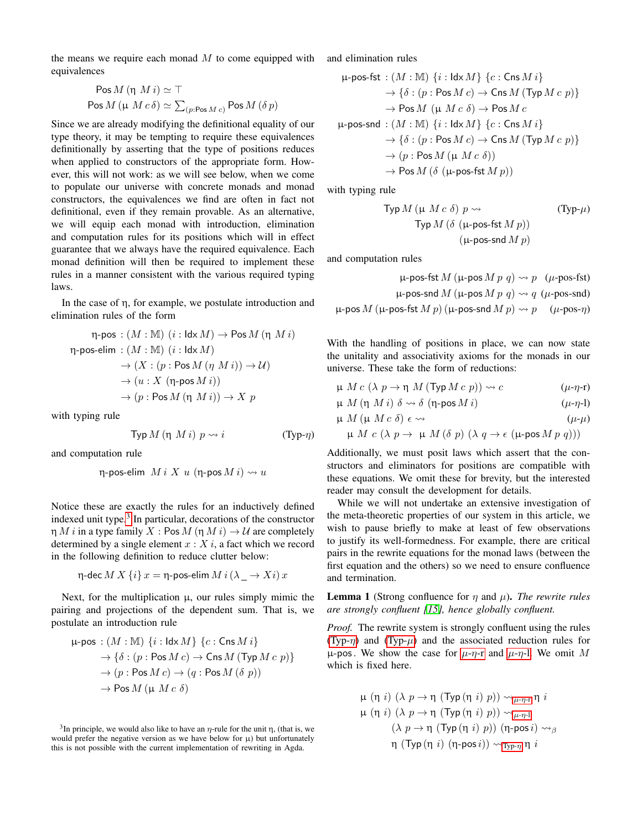the means we require each monad  $M$  to come equipped with and elimination rules equivalences

Pos M (η M i) 
$$
\simeq
$$
 T  
Pos M (μ M c δ)  $\simeq \sum_{(p:\text{Pos }M|c)} \text{Pos }M (\delta p)$ 

Since we are already modifying the definitional equality of our type theory, it may be tempting to require these equivalences definitionally by asserting that the type of positions reduces when applied to constructors of the appropriate form. However, this will not work: as we will see below, when we come to populate our universe with concrete monads and monad constructors, the equivalences we find are often in fact not definitional, even if they remain provable. As an alternative, we will equip each monad with introduction, elimination and computation rules for its positions which will in effect guarantee that we always have the required equivalence. Each monad definition will then be required to implement these rules in a manner consistent with the various required typing laws.

In the case of  $\eta$ , for example, we postulate introduction and elimination rules of the form

$$
\eta\text{-pos} : (M : \mathbb{M}) \ (i : \text{ldx } M) \to \text{Pos } M \ (\eta \ M \ i)
$$
\n
$$
\eta\text{-pos-elim} : (M : \mathbb{M}) \ (i : \text{ldx } M)
$$
\n
$$
\to (X : (p : \text{Pos } M \ (\eta \ M \ i)) \to \mathcal{U})
$$
\n
$$
\to (u : X \ (\eta\text{-pos } M \ i))
$$
\n
$$
\to (p : \text{Pos } M \ (\eta \ M \ i)) \to X \ p
$$

with typing rule

$$
\text{Typ } M \text{ } (\eta \ M \ i) \ p \rightsquigarrow i \tag{Typ- $\eta$ )}
$$

and computation rule

η-pos-elim 
$$
M
$$
  $i$   $X$   $u$  (η-pos  $M$   $i$ )  $\leadsto$   $u$ 

Notice these are exactly the rules for an inductively defined indexed unit type.<sup>[3](#page-4-0)</sup> In particular, decorations of the constructor  $η$  M i in a type family X : Pos M (η M i)  $\rightarrow$  U are completely determined by a single element  $x : X \in X$ , a fact which we record in the following definition to reduce clutter below:

$$
\operatorname{\eta-dec} M\,X\,\{i\}\,x=\operatorname{\eta-pos-elim} M\,i\,(\lambda\,\_\rightarrow Xi)\,x
$$

Next, for the multiplication  $\mu$ , our rules simply mimic the pairing and projections of the dependent sum. That is, we postulate an introduction rule

$$
\begin{aligned} \mu\text{-pos} &: (M : \mathbb{M}) \{i : \mathsf{ldx} \, M\} \{c : \mathsf{Cns} \, M \, i\} \\ &\to \{\delta : (p : \mathsf{Pos} \, M \, c) \to \mathsf{Cns} \, M \, (\mathsf{Typ} \, M \, c \, p)\} \\ &\to (p : \mathsf{Pos} \, M \, c) \to (q : \mathsf{Pos} \, M \, (\delta \, p)) \\ &\to \mathsf{Pos} \, M \, (\mu \, M \, c \, \delta) \end{aligned}
$$

<span id="page-4-0"></span><sup>3</sup>In principle, we would also like to have an  $\eta$ -rule for the unit  $\eta$ , (that is, we would prefer the negative version as we have below for  $\mu$ ) but unfortunately this is not possible with the current implementation of rewriting in Agda.

$$
\begin{aligned} \text{$\upmu$-pos-fst} &: (M : \mathbb{M}) \ \{i : \text{Idx } M\} \ \{c : \text{Cns } M \ i\} \\ & \to \{\delta : (p : \text{Pos } M \ c) \to \text{Cns } M \ (\text{Typ } M \ c \ p)\} \\ & \to \text{Pos } M \ (\mu \ M \ c \ \delta) \to \text{Pos } M \ c \\ \text{$\upmu$-pos-snd} &: (M : \mathbb{M}) \ \{i : \text{idx } M\} \ \{c : \text{Cns } M \ i\} \\ & \to \{\delta : (p : \text{Pos } M \ c) \to \text{Cns } M \ (\text{Typ } M \ c \ p)\} \\ & \to (p : \text{Pos } M \ (\mu \ M \ c \ \delta)) \\ & \to \text{Pos } M \ (\delta \ (\mu\text{-pos-fst } M \ p)) \end{aligned}
$$

with typing rule

<span id="page-4-2"></span>
$$
\begin{array}{ll}\n\text{Typ } M \ (\mu \ M \ c \ \delta) \ p \leadsto & (\text{Typ-}\mu) \\
\text{Top } M \ (\delta \ (\mu\text{-} \text{pos-} \text{fst } M \ p)) \\
 & (\mu\text{-} \text{pos-} \text{snd } M \ p)\n\end{array}
$$

and computation rules

$$
\text{ $\mu$-pos-fst $M$ ($\mu$-pos $M$ $p$ $q$)} \leadsto p$ \quad (\mu$-pos-fst)$
$$
\n
$$
\text{ $\mu$-pos-snd $M$ ($\mu$-pos $M$ $p$ $q$}) \leadsto q$ \quad (\mu$-pos-snd)$
$$
\n
$$
\text{ $\mu$-pos $M$ ($\mu$-pos-fst $M$ $p$}) ($\mu$-pos-snd $M$ $p$}) \leadsto p$ \quad (\mu$-pos- $\eta$)$
$$

With the handling of positions in place, we can now state the unitality and associativity axioms for the monads in our universe. These take the form of reductions:

<span id="page-4-3"></span>
$$
\mu M c (\lambda p \to \eta M (Type Mc p)) \rightsquigarrow c \qquad (\mu-\eta-\tau)
$$

$$
\mu M(\eta M i) \delta \rightsquigarrow \delta (\eta\text{-pos } M i) \tag{ \mu-\eta-1 }
$$

$$
\mu M(\mu M c \delta) \epsilon \rightsquigarrow \qquad (\mu \text{-} \mu)
$$

<span id="page-4-5"></span><span id="page-4-4"></span>
$$
\mu M c (\lambda p \rightarrow \mu M (\delta p) (\lambda q \rightarrow \epsilon (\mu\text{-pos }M p q)))
$$

<span id="page-4-1"></span>Additionally, we must posit laws which assert that the constructors and eliminators for positions are compatible with these equations. We omit these for brevity, but the interested reader may consult the development for details.

While we will not undertake an extensive investigation of the meta-theoretic properties of our system in this article, we wish to pause briefly to make at least of few observations to justify its well-formedness. For example, there are critical pairs in the rewrite equations for the monad laws (between the first equation and the others) so we need to ensure confluence and termination.

**Lemma 1** (Strong confluence for  $\eta$  and  $\mu$ ). *The rewrite rules are strongly confluent [\[15\]](#page-13-14), hence globally confluent.*

*Proof.* The rewrite system is strongly confluent using the rules [\(Typ-](#page-4-2) $\eta$ ) and (Typ- $\mu$ ) and the associated reduction rules for μ-pos. We show the case for  $\mu$ -η[-r](#page-4-3) and  $\mu$ -η[-l.](#page-4-4) We omit M which is fixed here.

$$
\mu (\eta i) (\lambda p \to \eta (Type (\eta i) p)) \rightsquigarrow_{\mu \to \eta \cdot \eta} i
$$
  
\n
$$
\mu (\eta i) (\lambda p \to \eta (Type (\eta i) p)) \rightsquigarrow_{\mu \to \eta \cdot 1}
$$
  
\n
$$
(\lambda p \to \eta (Type (\eta i) p)) (\eta\text{-}pos i) \rightsquigarrow_{\beta}
$$
  
\n
$$
\eta (Type (\eta i) (\eta\text{-}pos i)) \rightsquigarrow_{Type \eta} \eta i
$$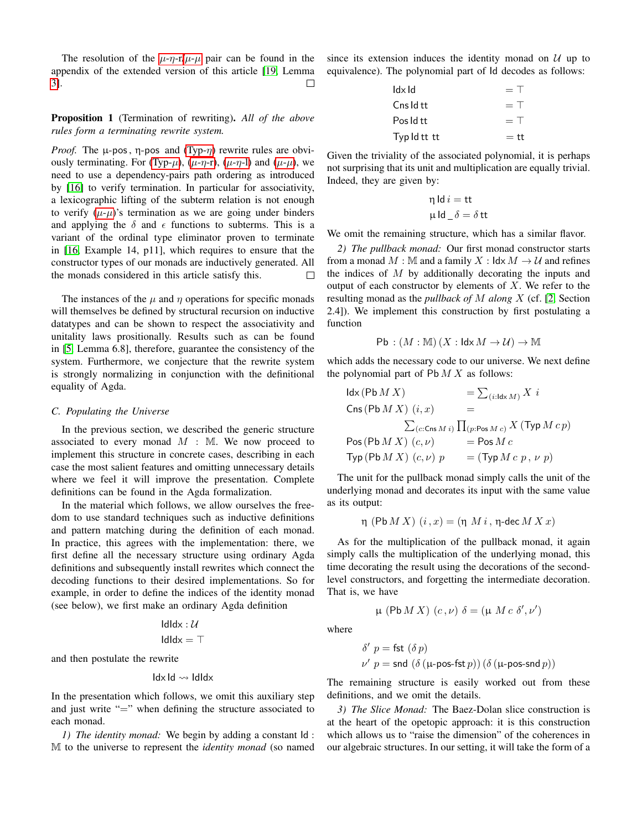The resolution of the  $\mu$ -η[-r/](#page-4-3) $\mu$ - $\mu$  pair can be found in the appendix of the extended version of this article [\[19,](#page-13-15) Lemma [3\]](#page-1-0).  $\Box$ 

Proposition 1 (Termination of rewriting). *All of the above rules form a terminating rewrite system.*

*Proof.* The  $\mu$ -pos,  $\eta$ -pos and [\(Typ-](#page-4-1) $\eta$ ) rewrite rules are obvi-ously terminating. For [\(Typ-](#page-4-2) $\mu$ ), ( $\mu$ - $\eta$ [-r\)](#page-4-3), ( $\mu$ - $\eta$ [-l\)](#page-4-4) and ( $\mu$ - $\mu$ ), we need to use a dependency-pairs path ordering as introduced by [\[16\]](#page-13-16) to verify termination. In particular for associativity, a lexicographic lifting of the subterm relation is not enough to verify  $(\mu-\mu)$ 's termination as we are going under binders and applying the  $\delta$  and  $\epsilon$  functions to subterms. This is a variant of the ordinal type eliminator proven to terminate in [\[16,](#page-13-16) Example 14, p11], which requires to ensure that the constructor types of our monads are inductively generated. All the monads considered in this article satisfy this.  $\Box$ 

The instances of the  $\mu$  and  $\eta$  operations for specific monads will themselves be defined by structural recursion on inductive datatypes and can be shown to respect the associativity and unitality laws prositionally. Results such as can be found in [\[5,](#page-13-4) Lemma 6.8], therefore, guarantee the consistency of the system. Furthermore, we conjecture that the rewrite system is strongly normalizing in conjunction with the definitional equality of Agda.

#### *C. Populating the Universe*

In the previous section, we described the generic structure associated to every monad  $M : \mathbb{M}$ . We now proceed to implement this structure in concrete cases, describing in each case the most salient features and omitting unnecessary details where we feel it will improve the presentation. Complete definitions can be found in the Agda formalization.

In the material which follows, we allow ourselves the freedom to use standard techniques such as inductive definitions and pattern matching during the definition of each monad. In practice, this agrees with the implementation: there, we first define all the necessary structure using ordinary Agda definitions and subsequently install rewrites which connect the decoding functions to their desired implementations. So for example, in order to define the indices of the identity monad (see below), we first make an ordinary Agda definition

$$
I dI dx : U
$$

$$
I dI dx = T
$$

and then postulate the rewrite

$$
\mathsf{Idx}\,\mathsf{Id}\leadsto\mathsf{I}\mathsf{d}\mathsf{Id}\mathsf{x}
$$

In the presentation which follows, we omit this auxiliary step and just write "=" when defining the structure associated to each monad.

*1) The identity monad:* We begin by adding a constant Id : M to the universe to represent the *identity monad* (so named since its extension induces the identity monad on  $U$  up to equivalence). The polynomial part of Id decodes as follows:

| ldx ld       | $=$ 1  |
|--------------|--------|
| Cns Id tt    | $=$ T  |
| Pos Id tt    | $=$ T  |
| Typ ld tt tt | $=$ tt |

Given the triviality of the associated polynomial, it is perhaps not surprising that its unit and multiplication are equally trivial. Indeed, they are given by:

$$
\begin{aligned}\n\eta \text{ Id } i &= \text{tt} \\
\mu \text{ Id }_{-} \delta &= \delta \text{ tt}\n\end{aligned}
$$

We omit the remaining structure, which has a similar flavor.

*2) The pullback monad:* Our first monad constructor starts from a monad  $M : \mathbb{M}$  and a family  $X : \mathsf{Idx} \times M \to \mathcal{U}$  and refines the indices of  $M$  by additionally decorating the inputs and output of each constructor by elements of  $X$ . We refer to the resulting monad as the *pullback of* M *along* X (cf. [\[2,](#page-13-1) Section 2.4]). We implement this construction by first postulating a function

$$
\mathsf{Pb} : (M : \mathbb{M}) (X : \mathsf{Idx}\, M \to \mathcal{U}) \to \mathbb{M}
$$

which adds the necessary code to our universe. We next define the polynomial part of  $Pb$  *M X* as follows:

| $Idx (Pb M X)$            | $= \sum_{(i:Idx M)} X i$                                   |
|---------------------------|------------------------------------------------------------|
| $Cns (Pb M X) (i, x)$     | $= \sum_{(c: Cns M i)} \prod_{(p:Pos M c)} X (Type M c p)$ |
| $Pos (Pb M X) (c, \nu)$   | $= Pos M c$                                                |
| $Typ (Pb M X) (c, \nu) p$ | $= (Type M c p, \nu p)$                                    |

The unit for the pullback monad simply calls the unit of the underlying monad and decorates its input with the same value as its output:

$$
\eta\,\left(\mathsf{Pb}\,M\,X\right)\,(i\,,x)=(\eta\,\,M\,i\,,\,\eta\text{-dec}\,M\,X\,x)
$$

As for the multiplication of the pullback monad, it again simply calls the multiplication of the underlying monad, this time decorating the result using the decorations of the secondlevel constructors, and forgetting the intermediate decoration. That is, we have

$$
\mu \left( \mathsf{Pb} \, M \, X \right) (c, \nu) \, \delta = (\mu \, M \, c \, \delta', \nu')
$$

where

$$
\begin{aligned} \delta'~&p = \mathrm{fst}~(\delta\,p)\\ \nu'~&p = \mathrm{snd}~(\delta\,(\mu\text{-}pos\text{-}fst~p))\,(\delta\,(\mu\text{-}pos\text{-}snd~p)) \end{aligned}
$$

The remaining structure is easily worked out from these definitions, and we omit the details.

*3) The Slice Monad:* The Baez-Dolan slice construction is at the heart of the opetopic approach: it is this construction which allows us to "raise the dimension" of the coherences in our algebraic structures. In our setting, it will take the form of a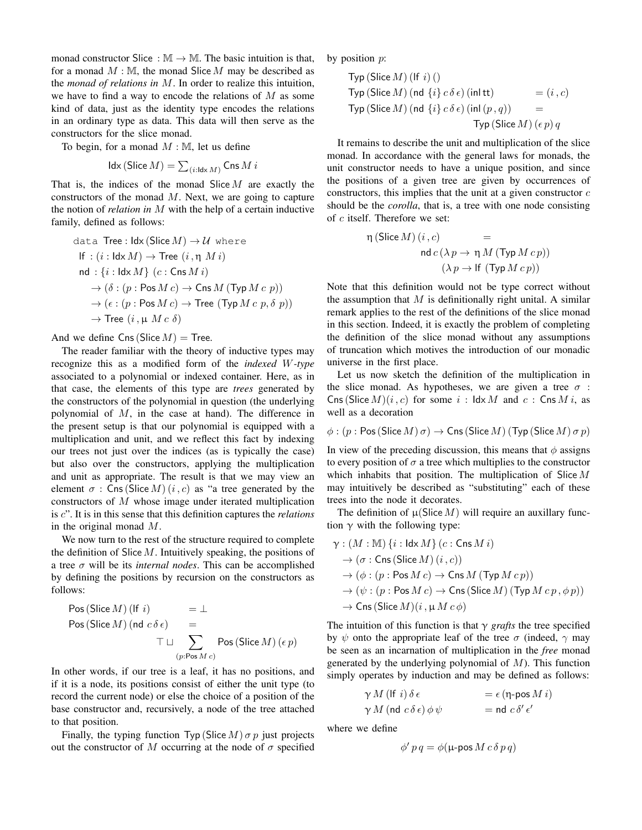monad constructor Slice :  $M \rightarrow M$ . The basic intuition is that, for a monad  $M : \mathbb{M}$ , the monad Slice M may be described as the *monad of relations in* M. In order to realize this intuition, we have to find a way to encode the relations of  $M$  as some kind of data, just as the identity type encodes the relations in an ordinary type as data. This data will then serve as the constructors for the slice monad.

To begin, for a monad  $M : \mathbb{M}$ , let us define

$$
\mathsf{Idx}\,(\mathsf{Slice}\,M) = \sum_{(i:\mathsf{Idx}\,M)}\mathsf{Cns}\,M\,i
$$

That is, the indices of the monad  $Slice M$  are exactly the constructors of the monad  $M$ . Next, we are going to capture the notion of *relation in* M with the help of a certain inductive family, defined as follows:

data Tree : 
$$
\text{ldx}(\text{Slice } M) \to \mathcal{U}
$$
 where  
\nIf :  $(i : \text{ldx } M) \to \text{Tree } (i, \eta \ M i)$   
\nnd :  $\{i : \text{ldx } M\} (c : \text{Cns } M i)$   
\n $\to (\delta : (p : \text{Pos } M c) \to \text{Cns } M (\text{Typ } M c p))$   
\n $\to (\epsilon : (p : \text{Pos } M c) \to \text{Tree } (\text{Typ } M c p, \delta p))$   
\n $\to \text{Tree } (i, \mu \ M c \ \delta)$ 

And we define  $\textsf{Cns}(\textsf{Slice }M) = \textsf{Tree}.$ 

The reader familiar with the theory of inductive types may recognize this as a modified form of the *indexed* W*-type* associated to a polynomial or indexed container. Here, as in that case, the elements of this type are *trees* generated by the constructors of the polynomial in question (the underlying polynomial of  $M$ , in the case at hand). The difference in the present setup is that our polynomial is equipped with a multiplication and unit, and we reflect this fact by indexing our trees not just over the indices (as is typically the case) but also over the constructors, applying the multiplication and unit as appropriate. The result is that we may view an element  $\sigma$  : Cns (Slice M)  $(i, c)$  as "a tree generated by the constructors of M whose image under iterated multiplication is c". It is in this sense that this definition captures the *relations* in the original monad M.

We now turn to the rest of the structure required to complete the definition of Slice  $M$ . Intuitively speaking, the positions of a tree  $\sigma$  will be its *internal nodes*. This can be accomplished by defining the positions by recursion on the constructors as follows:

Pos (Slice *M*) (If *i*) = 
$$
\perp
$$
  
\nPos (Slice *M*) (nd  $c \delta \epsilon$ ) =  
\n $\top \sqcup \sum_{(p:Pos M \ c)}$  Pos (Slice *M*) ( $\epsilon p$ )

In other words, if our tree is a leaf, it has no positions, and if it is a node, its positions consist of either the unit type (to record the current node) or else the choice of a position of the base constructor and, recursively, a node of the tree attached to that position.

Finally, the typing function  $\text{Typ}(\text{Slice }M)$   $\sigma p$  just projects out the constructor of M occurring at the node of  $\sigma$  specified by position  $p$ :

$$
\begin{aligned}\n\text{Typ (Slice } M) \, (\text{If } i) \, () \\
\text{Typ (Slice } M) \, (\text{nd } \{i\} \, c \, \delta \, \epsilon) \, (\text{inl tt}) &= (i \, c) \\
\text{Typ (Slice } M) \, (\text{nd } \{i\} \, c \, \delta \, \epsilon) \, (\text{inl } (p \, , q)) &= \\
\text{Typ (Slice } M) \, (\epsilon \, p) \, q\n\end{aligned}
$$

It remains to describe the unit and multiplication of the slice monad. In accordance with the general laws for monads, the unit constructor needs to have a unique position, and since the positions of a given tree are given by occurrences of constructors, this implies that the unit at a given constructor  $c$ should be the *corolla*, that is, a tree with one node consisting of c itself. Therefore we set:

$$
\eta \left( \text{Slice } M \right) (i, c) =
$$
  
\n
$$
\text{nd } c \left( \lambda p \to \eta M \left( \text{Typ } M \, c \, p \right) \right)
$$
  
\n
$$
\left( \lambda p \to \text{If } \left( \text{Typ } M \, c \, p \right) \right)
$$

Note that this definition would not be type correct without the assumption that  $M$  is definitionally right unital. A similar remark applies to the rest of the definitions of the slice monad in this section. Indeed, it is exactly the problem of completing the definition of the slice monad without any assumptions of truncation which motives the introduction of our monadic universe in the first place.

Let us now sketch the definition of the multiplication in the slice monad. As hypotheses, we are given a tree  $\sigma$ : Cns (Slice  $M(i, c)$  for some  $i : \text{Idx } M$  and  $c : \text{Cns } M i$ , as well as a decoration

$$
\phi : (p : \text{Pos}(\text{Slice }M) \sigma) \to \text{Cns}(\text{Slice }M) (\text{Type}(\text{Slice }M) \sigma p)
$$

In view of the preceding discussion, this means that  $\phi$  assigns to every position of  $\sigma$  a tree which multiplies to the constructor which inhabits that position. The multiplication of  $S$ lice M may intuitively be described as "substituting" each of these trees into the node it decorates.

The definition of  $\mu$ (Slice *M*) will require an auxillary function  $\gamma$  with the following type:

$$
\gamma : (M : \mathbb{M}) \{i : \mathsf{Idx}\,M\} (c : \mathsf{Cns}\,M\,i)
$$
\n
$$
\rightarrow (\sigma : \mathsf{Cns}\,(\mathsf{Slice}\,M)\, (i, c))
$$
\n
$$
\rightarrow (\phi : (p : \mathsf{Pos}\,M\,c) \rightarrow \mathsf{Cns}\,M\,(\mathsf{Typ}\,M\,c\,p))
$$
\n
$$
\rightarrow (\psi : (p : \mathsf{Pos}\,M\,c) \rightarrow \mathsf{Cns}\,(\mathsf{Slice}\,M)\,(\mathsf{Typ}\,M\,c\,p\,,\phi\,p))
$$
\n
$$
\rightarrow \mathsf{Cns}\,(\mathsf{Slice}\,M)(i\,, \mu\,M\,c\,\phi)
$$

The intuition of this function is that  $\gamma$  *grafts* the tree specified by  $\psi$  onto the appropriate leaf of the tree  $\sigma$  (indeed,  $\gamma$  may be seen as an incarnation of multiplication in the *free* monad generated by the underlying polynomial of  $M$ ). This function simply operates by induction and may be defined as follows:

$$
\gamma M (\text{If } i) \delta \epsilon = \epsilon (\eta\text{-pos } M i)
$$
  
 
$$
\gamma M (\text{nd } c \delta \epsilon) \phi \psi = \text{nd } c \delta' \epsilon'
$$

where we define

$$
\phi' p q = \phi(\mu\text{-pos }M c \,\delta\, p \,q)
$$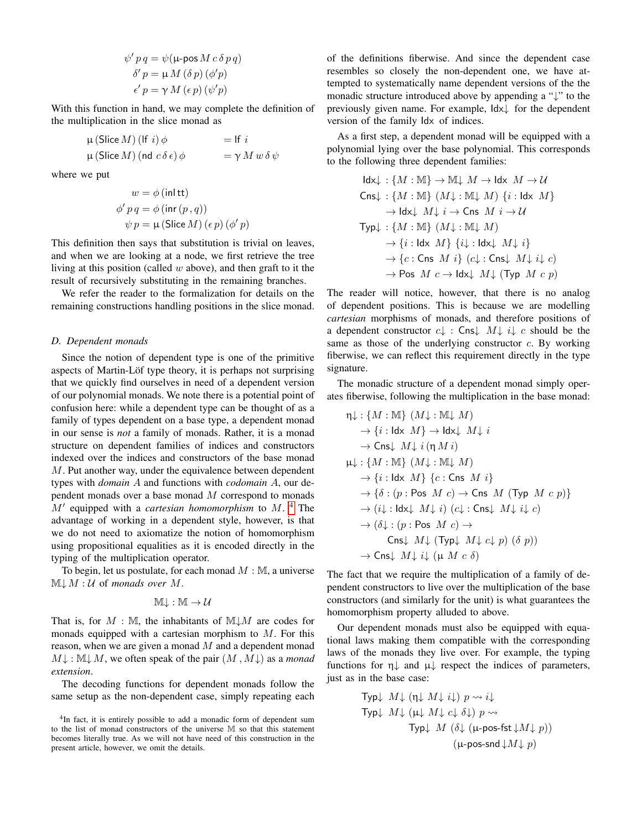$$
\psi' p q = \psi(\mu - \cos M c \delta p q)
$$

$$
\delta' p = \mu M (\delta p) (\phi' p)
$$

$$
\epsilon' p = \gamma M (\epsilon p) (\psi' p)
$$

With this function in hand, we may complete the definition of the multiplication in the slice monad as

$$
\mu \text{(Slice } M) \text{ (If } i) \phi = \text{If } i
$$
\n
$$
\mu \text{(Slice } M) \text{ (nd } c \delta \epsilon) \phi = \gamma \, M \, w \, \delta \psi
$$

where we put

$$
w = \phi \text{ (inl tt)}
$$
  
\n
$$
\phi' p q = \phi \text{ (inr } (p, q))
$$
  
\n
$$
\psi p = \mu \text{ (Slice } M) \text{ ( } \epsilon p \text{) } (\phi' p)
$$

This definition then says that substitution is trivial on leaves, and when we are looking at a node, we first retrieve the tree living at this position (called  $w$  above), and then graft to it the result of recursively substituting in the remaining branches.

We refer the reader to the formalization for details on the remaining constructions handling positions in the slice monad.

## *D. Dependent monads*

Since the notion of dependent type is one of the primitive aspects of Martin-Löf type theory, it is perhaps not surprising that we quickly find ourselves in need of a dependent version of our polynomial monads. We note there is a potential point of confusion here: while a dependent type can be thought of as a family of types dependent on a base type, a dependent monad in our sense is *not* a family of monads. Rather, it is a monad structure on dependent families of indices and constructors indexed over the indices and constructors of the base monad M. Put another way, under the equivalence between dependent types with *domain* A and functions with *codomain* A, our dependent monads over a base monad M correspond to monads  $M'$  equipped with a *cartesian homomorphism* to  $M$ .<sup>[4](#page-7-0)</sup> The advantage of working in a dependent style, however, is that we do not need to axiomatize the notion of homomorphism using propositional equalities as it is encoded directly in the typing of the multiplication operator.

To begin, let us postulate, for each monad  $M : \mathbb{M}$ , a universe M↓ M : U of *monads over* M.

$$
\mathbb{M}\!\!\downarrow:\mathbb{M}\to\mathcal{U}
$$

That is, for  $M : \mathbb{M}$ , the inhabitants of  $\mathbb{M} \downarrow M$  are codes for monads equipped with a cartesian morphism to  $M$ . For this reason, when we are given a monad  $M$  and a dependent monad  $M \downarrow$ : M $\downarrow$  *M*, we often speak of the pair  $(M, M \downarrow)$  as a *monad extension*.

The decoding functions for dependent monads follow the same setup as the non-dependent case, simply repeating each of the definitions fiberwise. And since the dependent case resembles so closely the non-dependent one, we have attempted to systematically name dependent versions of the the monadic structure introduced above by appending a "↓" to the previously given name. For example, Idx↓ for the dependent version of the family Idx of indices.

As a first step, a dependent monad will be equipped with a polynomial lying over the base polynomial. This corresponds to the following three dependent families:

$$
\begin{aligned}\n\text{Idx}\downarrow : \{M : \mathbb{M}\} &\rightarrow \mathbb{M}\downarrow M \rightarrow \text{Idx } M \rightarrow \mathcal{U} \\
\text{Cns}\downarrow : \{M : \mathbb{M}\} \ (M\downarrow : \mathbb{M}\downarrow M) \ \{i : \text{Idx } M\} \\
&\rightarrow \text{Idx}\downarrow M\downarrow i \rightarrow \text{Cns } M \ i \rightarrow \mathcal{U} \\
\text{Typ}\downarrow : \{M : \mathbb{M}\} \ (M\downarrow : \mathbb{M}\downarrow M) \\
&\rightarrow \{i : \text{Idx } M\} \ \{i\downarrow : \text{Idx}\downarrow M\downarrow i\} \\
&\rightarrow \{c : \text{Cns } M \ i\} \ (c\downarrow : \text{Cns}\downarrow M\downarrow i\downarrow c) \\
&\rightarrow \text{Pos } M \ c \rightarrow \text{Idx}\downarrow M\downarrow (\text{Typ } M \ c \ p)\n\end{aligned}
$$

The reader will notice, however, that there is no analog of dependent positions. This is because we are modelling *cartesian* morphisms of monads, and therefore positions of a dependent constructor  $c \downarrow : \mathsf{Cns} \downarrow M \downarrow i \downarrow c$  should be the same as those of the underlying constructor  $c$ . By working fiberwise, we can reflect this requirement directly in the type signature.

The monadic structure of a dependent monad simply operates fiberwise, following the multiplication in the base monad:

$$
\begin{aligned}\n\eta \downarrow &\,: \{M : \mathbb{M}\} \ (M \downarrow : \mathbb{M} \downarrow \ M) \\
&\to \{i : \text{idx } M\} \to \text{idx} \ M \downarrow \ i \\
&\to \text{Cns} \downarrow \ M \downarrow \ i (\eta \ M \, i) \\
\mu \downarrow &\,: \{M : \mathbb{M}\} \ (M \downarrow : \mathbb{M} \downarrow \ M) \\
&\to \{i : \text{idx } M\} \ \{c : \text{Cns } M \ i\} \\
&\to \{\delta : (p : \text{Pos } M \ c) \to \text{Cns } M \ (\text{Typ } M \ c \ p)\} \\
&\to (i \downarrow : \text{idx} \downarrow \ M \downarrow \ i) \ (c \downarrow : \text{Cns} \downarrow \ M \downarrow \ i \downarrow c) \\
&\to (\delta \downarrow : (p : \text{Pos } M \ c) \to \\
&\text{Cns} \downarrow \ M \downarrow \ (\text{Typ} \downarrow \ M \downarrow \ c \downarrow \ p) \ (\delta \ p)) \\
&\to \text{Cns} \downarrow \ M \downarrow \ i \downarrow (\mu \ M \ c \ \delta)\n\end{aligned}
$$

The fact that we require the multiplication of a family of dependent constructors to live over the multiplication of the base constructors (and similarly for the unit) is what guarantees the homomorphism property alluded to above.

Our dependent monads must also be equipped with equational laws making them compatible with the corresponding laws of the monads they live over. For example, the typing functions for  $\eta$  and  $\mu$  respect the indices of parameters, just as in the base case:

$$
\begin{aligned}\n\text{TypL} \ M \downarrow \ (\eta \downarrow M \downarrow i \downarrow) \ p &\rightsquigarrow i \downarrow \\
\text{TypL} \ M \downarrow \ (\mu \downarrow M \downarrow c \downarrow \delta \downarrow) \ p &\rightsquigarrow \\
\text{TypL} \ M \ (\delta \downarrow (\mu\text{-pos-fst} \downarrow M \downarrow p)) \\
 &\quad (\mu\text{-pos-snd} \downarrow M \downarrow p)\n\end{aligned}
$$

<span id="page-7-0"></span><sup>&</sup>lt;sup>4</sup>In fact, it is entirely possible to add a monadic form of dependent sum to the list of monad constructors of the universe M so that this statement becomes literally true. As we will not have need of this construction in the present article, however, we omit the details.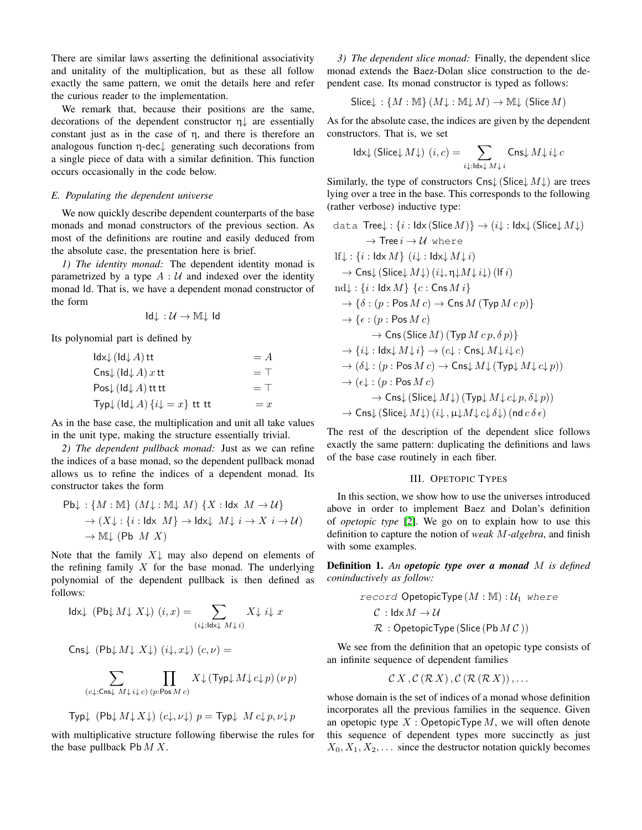There are similar laws asserting the definitional associativity and unitality of the multiplication, but as these all follow exactly the same pattern, we omit the details here and refer the curious reader to the implementation.

We remark that, because their positions are the same, decorations of the dependent constructor  $\eta\downarrow$  are essentially constant just as in the case of  $\eta$ , and there is therefore an analogous function η-dec↓ generating such decorations from a single piece of data with a similar definition. This function occurs occasionally in the code below.

# *E. Populating the dependent universe*

We now quickly describe dependent counterparts of the base monads and monad constructors of the previous section. As most of the definitions are routine and easily deduced from the absolute case, the presentation here is brief.

*1) The identity monad:* The dependent identity monad is parametrized by a type  $A : U$  and indexed over the identity monad Id. That is, we have a dependent monad constructor of the form

$$
\mathsf{Id}\!\!\downarrow:\mathcal{U}\to\mathbb{M}\!\!\downarrow\mathsf{Id}
$$

Its polynomial part is defined by

| $\mathsf{Idx} \downarrow (\mathsf{Id} \downarrow A)$ tt         | $= A$ |
|-----------------------------------------------------------------|-------|
| $\mathsf{Cns}\downarrow (\mathsf{Id}\downarrow A)\,x$ tt        | $=$ T |
| $Pos\downarrow$ (ld $\downarrow$ A) tt tt                       | $=$ T |
| Typ $\downarrow$ (ld $\downarrow$ A) $\{i\downarrow$ = x} tt tt | $= x$ |

As in the base case, the multiplication and unit all take values in the unit type, making the structure essentially trivial.

*2) The dependent pullback monad:* Just as we can refine the indices of a base monad, so the dependent pullback monad allows us to refine the indices of a dependent monad. Its constructor takes the form

$$
\mathsf{Pb}\!\!\downarrow : \{M : \mathbb{M}\} (M\!\!\downarrow : \mathbb{M}\!\!\downarrow M) \{X : \mathsf{ldx} \ M \to \mathcal{U}\}\
$$

$$
\to (X\!\!\downarrow : \{i : \mathsf{ldx} \ M\} \to \mathsf{ldx}\!\!\downarrow M\!\!\downarrow i \to X \ i \to \mathcal{U})
$$

$$
\to \mathbb{M}\!\!\downarrow (\mathsf{Pb} \ M \ X)
$$

Note that the family  $X\downarrow$  may also depend on elements of the refining family  $X$  for the base monad. The underlying polynomial of the dependent pullback is then defined as follows:

$$
\begin{aligned}\n\text{Idx} \downarrow \ (\text{Pb} \downarrow M \downarrow X \downarrow) \ (i, x) &= \sum_{(i \downarrow : \text{idx} \downarrow M \downarrow i)} X \downarrow i \downarrow x \\
\text{Cns} \downarrow \ (\text{Pb} \downarrow M \downarrow X \downarrow) \ (i \downarrow, x \downarrow) \ (c, \nu) &= \\
&\sum_{(c \downarrow : \text{Cns} \downarrow M \downarrow i \downarrow c)} \prod_{(p: \text{Pos } M c)} X \downarrow (\text{Typ} \downarrow M \downarrow c \downarrow p) \ (\nu \, p)\n\end{aligned}
$$

$$
\text{Typ}\downarrow (\text{Pb}\downarrow M\downarrow X\downarrow) (c\downarrow,\nu\downarrow) p = \text{Typ}\downarrow M c\downarrow p, \nu\downarrow p
$$

with multiplicative structure following fiberwise the rules for the base pullback  $Pb$  *M X*.

*3) The dependent slice monad:* Finally, the dependent slice monad extends the Baez-Dolan slice construction to the dependent case. Its monad constructor is typed as follows:

$$
\mathsf{Slice}\downarrow: \{M : \mathbb{M}\}\,(M\downarrow: \mathbb{M}\downarrow M) \to \mathbb{M}\downarrow \, (\mathsf{Slice}\,M)
$$

As for the absolute case, the indices are given by the dependent constructors. That is, we set

$$
\mathsf{Idx} \downarrow (\mathsf{Slice} \downarrow M \downarrow) \ (i, c) = \sum_{i \downarrow : \mathsf{idx} \downarrow M \downarrow i} \mathsf{Cns} \downarrow M \downarrow i \downarrow c
$$

Similarly, the type of constructors  $\text{Cns}\downarrow$  (Slice $\downarrow$  M $\downarrow$ ) are trees lying over a tree in the base. This corresponds to the following (rather verbose) inductive type:

data Tree↓ : {i : Idx (Slice M)} → (i↓ : Idx↓ (Slice↓ M↓) → Tree i → U where lf↓ : {i : Idx M} (i↓ : Idx↓ M↓ i) → Cns↓ (Slice↓ M↓) (i↓, η↓M↓ i↓) (lf i) nd↓ : {i : Idx M} {c : Cns M i} → {δ : (p : Pos M c) → Cns M (Typ M c p)} → { : (p : Pos M c) → Cns(Slice M) (Typ M c p, δ p)} → {i↓ : Idx↓ M↓ i} → (c↓ : Cns↓ M↓ i↓ c) → (δ↓ : (p : Pos M c) → Cns↓ M↓ (Typ↓ M↓ c↓ p)) → (↓ : (p : Pos M c) → Cns↓ (Slice↓ M↓) (Typ↓ M↓ c↓ p, δ↓ p)) → Cns↓ (Slice↓ M↓) (i↓ , µ↓M↓ c↓ δ↓) (nd c δ )

The rest of the description of the dependent slice follows exactly the same pattern: duplicating the definitions and laws of the base case routinely in each fiber.

# III. OPETOPIC TYPES

In this section, we show how to use the universes introduced above in order to implement Baez and Dolan's definition of *opetopic type* [\[2\]](#page-13-1). We go on to explain how to use this definition to capture the notion of *weak* M*-algebra*, and finish with some examples.

Definition 1. *An opetopic type over a monad* M *is defined coninductively as follow:*

$$
record \text{ OptopicType}(M : M) : U_1 \text{ where}
$$
  

$$
C : \text{Idx } M \rightarrow U
$$
  

$$
R : OptopicType (Slice (Pb M C))
$$

We see from the definition that an opetopic type consists of an infinite sequence of dependent families

$$
\mathcal{C} X, \mathcal{C} (\mathcal{R} X), \mathcal{C} (\mathcal{R} (X X)), \ldots
$$

whose domain is the set of indices of a monad whose definition incorporates all the previous families in the sequence. Given an opetopic type  $X:$  OpetopicType M, we will often denote this sequence of dependent types more succinctly as just  $X_0, X_1, X_2, \ldots$  since the destructor notation quickly becomes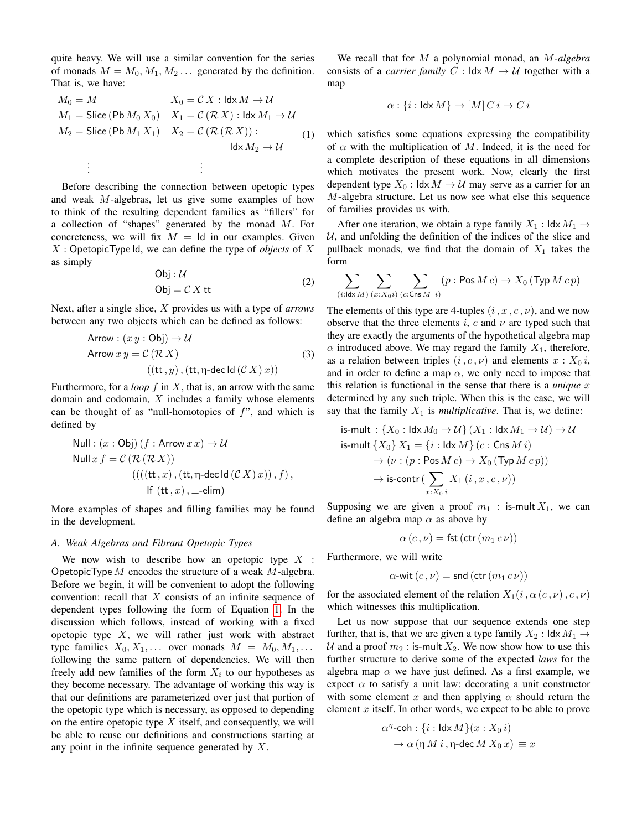quite heavy. We will use a similar convention for the series of monads  $M = M_0, M_1, M_2, \ldots$  generated by the definition. That is, we have:

<span id="page-9-0"></span>
$$
M_0 = M
$$
  
\n
$$
X_0 = C X : \text{Id} \times M \to U
$$
  
\n
$$
M_1 = \text{Slice } (\text{Pb } M_0 X_0)
$$
  
\n
$$
X_1 = C (R X) : \text{Id} \times M_1 \to U
$$
  
\n
$$
M_2 = \text{Slice } (\text{Pb } M_1 X_1)
$$
  
\n
$$
X_2 = C (R (R X)) : \text{(1)}
$$
  
\n
$$
\text{Id} \times M_2 \to U
$$
  
\n
$$
\vdots
$$

Before describing the connection between opetopic types and weak M-algebras, let us give some examples of how to think of the resulting dependent families as "fillers" for a collection of "shapes" generated by the monad M. For concreteness, we will fix  $M = Id$  in our examples. Given X : OpetopicType Id, we can define the type of *objects* of X as simply  $\bigcap_{i=1}^n$ 

<span id="page-9-1"></span>
$$
Obj : \mathcal{U}
$$
  
Obj =  $\mathcal{C} X$ tt (2)

Next, after a single slice, X provides us with a type of *arrows* between any two objects which can be defined as follows:

<span id="page-9-2"></span>
$$
\begin{aligned}\n\text{Arrow}: (x \, y : \text{Obj}) &\rightarrow \mathcal{U} \\
\text{Arrow} \, x \, y &= \mathcal{C} \left( \mathcal{R} \, X \right) \\
&\quad \text{(tt, y), (tt, \eta-\text{dec} \, \text{Id} \, (\mathcal{C} \, X) \, x))}\n\end{aligned}\n\tag{3}
$$

Furthermore, for a *loop*  $f$  in  $X$ , that is, an arrow with the same domain and codomain,  $X$  includes a family whose elements can be thought of as "null-homotopies of  $f$ ", and which is defined by

Null: 
$$
(x : Obj) (f : Arrow x x) \rightarrow U
$$
  
\nNull  $xf = C (R (R X))$   
\n
$$
(((\text{tt}, x), (\text{tt}, \text{n-dec Id } (CX)x)), f),
$$
\nIf  $(\text{tt}, x), \perp$ -elim)

More examples of shapes and filling families may be found in the development.

# <span id="page-9-3"></span>*A. Weak Algebras and Fibrant Opetopic Types*

We now wish to describe how an opetopic type  $X$ : OpetopicType M encodes the structure of a weak M-algebra. Before we begin, it will be convenient to adopt the following convention: recall that  $X$  consists of an infinite sequence of dependent types following the form of Equation [1.](#page-9-0) In the discussion which follows, instead of working with a fixed opetopic type  $X$ , we will rather just work with abstract type families  $X_0, X_1, \ldots$  over monads  $M = M_0, M_1, \ldots$ following the same pattern of dependencies. We will then freely add new families of the form  $X_i$  to our hypotheses as they become necessary. The advantage of working this way is that our definitions are parameterized over just that portion of the opetopic type which is necessary, as opposed to depending on the entire opetopic type  $X$  itself, and consequently, we will be able to reuse our definitions and constructions starting at any point in the infinite sequence generated by  $X$ .

We recall that for M a polynomial monad, an M*-algebra* consists of a *carrier family*  $C : \text{Idx } M \to U$  together with a map

$$
\alpha:\{i:\mathsf{Idx}\,M\}\rightarrow [M]\,C\,i\rightarrow C\,i
$$

which satisfies some equations expressing the compatibility of  $\alpha$  with the multiplication of M. Indeed, it is the need for a complete description of these equations in all dimensions which motivates the present work. Now, clearly the first dependent type  $X_0$ : Idx  $M \to U$  may serve as a carrier for an M-algebra structure. Let us now see what else this sequence of families provides us with.

After one iteration, we obtain a type family  $X_1$  :  $\mathsf{Idx}\,M_1 \to$  $U$ , and unfolding the definition of the indices of the slice and pullback monads, we find that the domain of  $X_1$  takes the form

$$
\sum_{(i:\operatorname{Idx} M)} \sum_{(x:X_0i)} \sum_{(c:\operatorname{Cns} M-i)} (p:\operatorname{Pos} M\, c) \to X_0 \, (\operatorname{Typ} M\, c\, p)
$$

The elements of this type are 4-tuples  $(i, x, c, \nu)$ , and we now observe that the three elements i, c and  $\nu$  are typed such that they are exactly the arguments of the hypothetical algebra map  $\alpha$  introduced above. We may regard the family  $X_1$ , therefore, as a relation between triples  $(i, c, \nu)$  and elements  $x : X_0 i$ , and in order to define a map  $\alpha$ , we only need to impose that this relation is functional in the sense that there is a *unique* x determined by any such triple. When this is the case, we will say that the family  $X_1$  is *multiplicative*. That is, we define:

is-mult : {
$$
X_0
$$
 : Idx  $M_0 \rightarrow U$ } ( $X_1$  : Idx  $M_1 \rightarrow U$ )  $\rightarrow U$   
is-mult { $X_0$ }  $X_1 = \{i : Idx M\}$  ( $c$  : Cns  $M$   $i$ )  
 $\rightarrow (\nu : (p : Pos M c) \rightarrow X_0$  (Typ  $M c p$ ))  
 $\rightarrow$  is-contr ( $\sum_{x:X_0} X_1 (i, x, c, \nu)$ )

Supposing we are given a proof  $m_1$  : is-mult  $X_1$ , we can define an algebra map  $\alpha$  as above by

$$
\alpha(c,\nu) = \mathsf{fst}\left(\mathsf{ctr}\left(m_1\,c\,\nu\right)\right)
$$

Furthermore, we will write

$$
\alpha\text{-wit}(c,\nu) = \text{snd}(\text{ctr}(m_1 c\nu))
$$

for the associated element of the relation  $X_1(i, \alpha(c, \nu), c, \nu)$ which witnesses this multiplication.

Let us now suppose that our sequence extends one step further, that is, that we are given a type family  $X_2$ :  $\text{Idx } M_1 \rightarrow$ U and a proof  $m_2$ : is-mult  $X_2$ . We now show how to use this further structure to derive some of the expected *laws* for the algebra map  $\alpha$  we have just defined. As a first example, we expect  $\alpha$  to satisfy a unit law: decorating a unit constructor with some element x and then applying  $\alpha$  should return the element  $x$  itself. In other words, we expect to be able to prove

$$
\alpha^{\eta}\text{-coh}: \{i: \text{Idx } M\}(x:X_0 i) \\ \rightarrow \alpha \left(\eta \, M \, i \,, \eta \text{-dec } M \, X_0 \, x \right) \, \equiv x
$$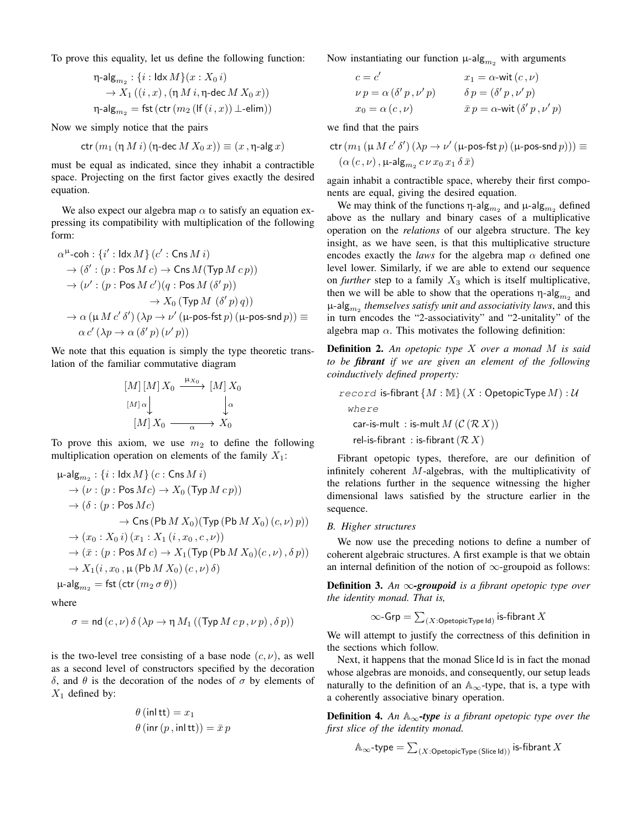To prove this equality, let us define the following function:

$$
\begin{aligned} \mathsf{\eta}\text{-}\mathsf{alg}_{m_2}: \{i: \mathsf{Idx}\,M\}(x:X_0\, i) \\ &\to X_1\, ((i\,,x)\,, (\mathsf{\eta}\,M\, i, \mathsf{\eta}\text{-}\mathsf{dec}\,M\,X_0\, x)) \\ \mathsf{\eta}\text{-}\mathsf{alg}_{m_2} = \mathsf{fst}\,(\mathsf{ctr}\,(m_2\,(\mathsf{lf}\,(i\,,x))\,\bot\text{-}\mathsf{elim})) \end{aligned}
$$

Now we simply notice that the pairs

$$
\mathsf{ctr}\left(m_{1}\left(\mathsf{\eta}\,M\,i\right)\left(\mathsf{\eta}\textrm{-}\mathsf{dec}\,M\,X_{0}\,x\right)\right)\equiv\left(x\,,\mathsf{\eta}\textrm{-}\mathsf{alg}\,x\right)
$$

must be equal as indicated, since they inhabit a contractible space. Projecting on the first factor gives exactly the desired equation.

We also expect our algebra map  $\alpha$  to satisfy an equation expressing its compatibility with multiplication of the following form:

$$
\alpha^{\mu}
$$
-coh : {*i'* : Idx M} (c' : Cns M *i*)  
\n
$$
\rightarrow (\delta' : (p : Pos M c) \rightarrow Cns M (Typ M c p))
$$
\n
$$
\rightarrow (\nu' : (p : Pos M c')(q : Pos M (\delta' p))
$$
\n
$$
\rightarrow X_0 (Typ M (\delta' p) q))
$$
\n
$$
\rightarrow \alpha (\mu M c' \delta') (\lambda p \rightarrow \nu' (\mu\text{-pos-fst } p) (\mu\text{-pos-snd } p)) \equiv
$$
\n
$$
\alpha c' (\lambda p \rightarrow \alpha (\delta' p) (\nu' p))
$$

We note that this equation is simply the type theoretic translation of the familiar commutative diagram

$$
[M] [M] X_0 \xrightarrow{\mu_{X_0}} [M] X_0
$$

$$
[M] \alpha \downarrow \qquad \qquad \downarrow \alpha
$$

$$
[M] X_0 \xrightarrow{\alpha} X_0
$$

To prove this axiom, we use  $m_2$  to define the following multiplication operation on elements of the family  $X_1$ :

$$
\mu\text{-alg}_{m_2}: \{i : \text{Idx } M\} (c : \text{Cns } M i)
$$
\n
$$
\rightarrow (\nu : (p : \text{Pos } Mc) \rightarrow X_0 (\text{Typ } M c p))
$$
\n
$$
\rightarrow (\delta : (p : \text{Pos } Mc)
$$
\n
$$
\rightarrow \text{Cns } (\text{Pb } M X_0)(\text{Typ } (\text{Pb } M X_0) (c, \nu) p))
$$
\n
$$
\rightarrow (x_0 : X_0 i) (x_1 : X_1 (i, x_0, c, \nu))
$$
\n
$$
\rightarrow (\bar{x} : (p : \text{Pos } Mc) \rightarrow X_1 (\text{Typ } (\text{Pb } M X_0) (c, \nu), \delta p))
$$
\n
$$
\rightarrow X_1 (i, x_0, \mu (\text{Pb } M X_0) (c, \nu) \delta)
$$
\n
$$
\mu\text{-alg}_{m_2} = \text{fst } (\text{ctr } (m_2 \sigma \theta))
$$

where

$$
\sigma = \text{nd}(c, \nu) \, \delta \left( \lambda p \to \eta \, M_1 \left( \left( \text{Typ } M \, c \, p, \nu \, p \right), \delta \, p \right) \right)
$$

is the two-level tree consisting of a base node  $(c, \nu)$ , as well as a second level of constructors specified by the decoration δ, and  $θ$  is the decoration of the nodes of  $σ$  by elements of  $X_1$  defined by:

$$
\theta (\text{inl tt}) = x_1
$$

$$
\theta (\text{inr } (p, \text{inl tt})) = \bar{x} p
$$

Now instantiating our function  $\mu$ -alg<sub>m2</sub> with arguments

$$
c = c'
$$
  
\n
$$
\nu p = \alpha (\delta' p, \nu' p)
$$
  
\n
$$
x_1 = \alpha \text{-wit}(c, \nu)
$$
  
\n
$$
\delta p = (\delta' p, \nu' p)
$$
  
\n
$$
\bar{x} p = \alpha \text{-wit}(\delta' p, \nu' p)
$$

we find that the pairs

$$
\begin{aligned} &\mathsf{ctr}\left(m_1\left(\mu\,M\,c'\,\delta'\right)\left(\lambda p\to\nu'\left(\mu\text{-pos-fst }p\right)\left(\mu\text{-pos-snd }p\right)\right)\right)\equiv\\ &\left(\alpha\left(c,\nu\right),\mu\text{-alg}_{m_2}\,c\,\nu\,x_0\,x_1\,\delta\,\bar{x}\right) \end{aligned}
$$

again inhabit a contractible space, whereby their first components are equal, giving the desired equation.

We may think of the functions  $\eta$ -alg<sub>m<sub>2</sub></sub> and  $\mu$ -alg<sub>m<sub>2</sub></sub> defined above as the nullary and binary cases of a multiplicative operation on the *relations* of our algebra structure. The key insight, as we have seen, is that this multiplicative structure encodes exactly the *laws* for the algebra map  $\alpha$  defined one level lower. Similarly, if we are able to extend our sequence on *further* step to a family  $X_3$  which is itself multiplicative, then we will be able to show that the operations  $\eta$ -alg<sub>m<sub>2</sub></sub> and  $\mu$ -alg<sub>m<sub>2</sub> themselves satisfy unit and associativity laws, and this</sub> in turn encodes the "2-associativity" and "2-unitality" of the algebra map  $\alpha$ . This motivates the following definition:

Definition 2. *An opetopic type* X *over a monad* M *is said to be fibrant if we are given an element of the following coinductively defined property:*

record is-fibrant  $\{M : \mathbb{M}\}\ (X : \mathsf{OpetopicType}\ M) : \mathcal{U}$ where car-is-mult : is-mult  $M$  ( $C$  ( $\mathcal{R} X$ )) rel-is-fibrant : is-fibrant  $(\mathcal{R} X)$ 

Fibrant opetopic types, therefore, are our definition of infinitely coherent M-algebras, with the multiplicativity of the relations further in the sequence witnessing the higher dimensional laws satisfied by the structure earlier in the sequence.

### *B. Higher structures*

We now use the preceding notions to define a number of coherent algebraic structures. A first example is that we obtain an internal definition of the notion of  $\infty$ -groupoid as follows:

**Definition 3.** An  $\infty$ -groupoid is a fibrant opetopic type over *the identity monad. That is,*

$$
\infty\text{-}\mathsf{Grp}=\textstyle\sum_{(X\text{:OpetopicType Id})}\text{is-fibrant }X
$$

We will attempt to justify the correctness of this definition in the sections which follow.

Next, it happens that the monad Slice Id is in fact the monad whose algebras are monoids, and consequently, our setup leads naturally to the definition of an  $A_{\infty}$ -type, that is, a type with a coherently associative binary operation.

Definition 4. *An* A∞*-type is a fibrant opetopic type over the first slice of the identity monad.*

$$
\mathbb{A}_{\infty}\textrm{-type} = \sum_{(X:\textrm{OpetopicType (Slice Id))}}\textsf{is-fibrant}\,X
$$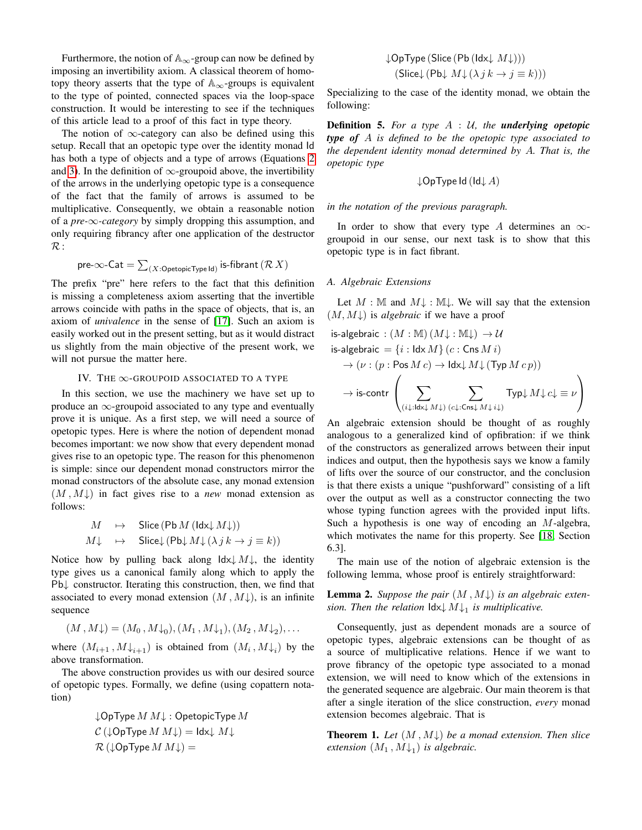Furthermore, the notion of  $\mathbb{A}_{\infty}$ -group can now be defined by imposing an invertibility axiom. A classical theorem of homotopy theory asserts that the type of  $\mathbb{A}_{\infty}$ -groups is equivalent to the type of pointed, connected spaces via the loop-space construction. It would be interesting to see if the techniques of this article lead to a proof of this fact in type theory.

The notion of  $\infty$ -category can also be defined using this setup. Recall that an opetopic type over the identity monad Id has both a type of objects and a type of arrows (Equations [2](#page-9-1) and [3\)](#page-9-2). In the definition of  $\infty$ -groupoid above, the invertibility of the arrows in the underlying opetopic type is a consequence of the fact that the family of arrows is assumed to be multiplicative. Consequently, we obtain a reasonable notion of a *pre-*∞*-category* by simply dropping this assumption, and only requiring fibrancy after one application of the destructor  $\mathcal{R}$ :

pre-
$$
\infty
$$
-Cat =  $\sum_{(X:\text{OpetopicType Id})}$ is-fibrant  $(\mathcal{R} X)$ 

The prefix "pre" here refers to the fact that this definition is missing a completeness axiom asserting that the invertible arrows coincide with paths in the space of objects, that is, an axiom of *univalence* in the sense of [\[17\]](#page-13-17). Such an axiom is easily worked out in the present setting, but as it would distract us slightly from the main objective of the present work, we will not pursue the matter here.

#### IV. THE ∞-GROUPOID ASSOCIATED TO A TYPE

In this section, we use the machinery we have set up to produce an  $\infty$ -groupoid associated to any type and eventually prove it is unique. As a first step, we will need a source of opetopic types. Here is where the notion of dependent monad becomes important: we now show that every dependent monad gives rise to an opetopic type. The reason for this phenomenon is simple: since our dependent monad constructors mirror the monad constructors of the absolute case, any monad extension  $(M, M)$  in fact gives rise to a *new* monad extension as follows:

$$
M \rightarrow \text{Slice } (\text{Pb } M \left( \text{Idx} \downarrow M \downarrow ) \right)
$$
  

$$
M \downarrow \rightarrow \text{Slice } \downarrow (\text{Pb} \downarrow M \downarrow (\lambda j k \rightarrow j \equiv k))
$$

Notice how by pulling back along  $\text{Idx} \downarrow M \downarrow$ , the identity type gives us a canonical family along which to apply the Pb↓ constructor. Iterating this construction, then, we find that associated to every monad extension  $(M, M)$ , is an infinite sequence

$$
(M, M\downarrow) = (M_0, M\downarrow_0), (M_1, M\downarrow_1), (M_2, M\downarrow_2), \dots
$$

where  $(M_{i+1}, M_{i+1})$  is obtained from  $(M_i, M_{i})$  by the above transformation.

The above construction provides us with our desired source of opetopic types. Formally, we define (using copattern notation)

$$
\downarrow
$$
OpType  $M M \downarrow$ : OptopicType  $M$   
 $C (\downarrow$ OpType  $M M \downarrow$ ) = Idx $\downarrow$   $M \downarrow$   
 $\mathcal{R} (\downarrow$ OpType  $M M \downarrow$ ) =

$$
\downarrow \text{OpType (Slice (Pb (ldx\downarrow M\downarrow)))}
$$
  

$$
(\text{Slice}\downarrow (\text{Pb}\downarrow M\downarrow (\lambda j k \rightarrow j \equiv k)))
$$

Specializing to the case of the identity monad, we obtain the following:

Definition 5. *For a type* A : U*, the underlying opetopic type of* A *is defined to be the opetopic type associated to the dependent identity monad determined by* A*. That is, the opetopic type*

$$
\downarrow
$$
OpType Id (Id $\downarrow$  A)

*in the notation of the previous paragraph.*

In order to show that every type A determines an  $\infty$ groupoid in our sense, our next task is to show that this opetopic type is in fact fibrant.

## *A. Algebraic Extensions*

Let  $M : \mathbb{M}$  and  $M \downarrow : \mathbb{M} \downarrow$ . We will say that the extension (M, M↓) is *algebraic* if we have a proof

is-algebraic : 
$$
(M : M) (M \downarrow : M \downarrow)
$$
  $\rightarrow U$ 

is-algebraic =  $\{i : \text{Idx } M\}$   $(c : \text{Cns } M i)$ 

$$
\rightarrow (\nu : (p : \text{Pos } M c) \rightarrow \text{Idx} \downarrow M \downarrow (\text{Typ } M c p))
$$

$$
\rightarrow \text{is-contr}\ \left(\sum_{(i\downarrow:\text{ldx}\downarrow M\downarrow)}\sum_{(c\downarrow:\text{Cns}\downarrow M\downarrow i\downarrow)}\text{Typ}\downarrow M\downarrow c\downarrow \equiv \nu\right)
$$

 $\overline{ }$ 

An algebraic extension should be thought of as roughly analogous to a generalized kind of opfibration: if we think of the constructors as generalized arrows between their input indices and output, then the hypothesis says we know a family of lifts over the source of our constructor, and the conclusion is that there exists a unique "pushforward" consisting of a lift over the output as well as a constructor connecting the two whose typing function agrees with the provided input lifts. Such a hypothesis is one way of encoding an M-algebra, which motivates the name for this property. See [\[18,](#page-13-18) Section 6.3].

The main use of the notion of algebraic extension is the following lemma, whose proof is entirely straightforward:

<span id="page-11-0"></span>**Lemma 2.** Suppose the pair  $(M, M_{\downarrow})$  is an algebraic exten*sion. Then the relation*  $\text{Idx} \downarrow M \downarrow$  *is multiplicative.* 

Consequently, just as dependent monads are a source of opetopic types, algebraic extensions can be thought of as a source of multiplicative relations. Hence if we want to prove fibrancy of the opetopic type associated to a monad extension, we will need to know which of the extensions in the generated sequence are algebraic. Our main theorem is that after a single iteration of the slice construction, *every* monad extension becomes algebraic. That is

<span id="page-11-1"></span>**Theorem 1.** Let  $(M, M_{\downarrow})$  be a monad extension. Then slice *extension*  $(M_1, M_1)$  *is algebraic.*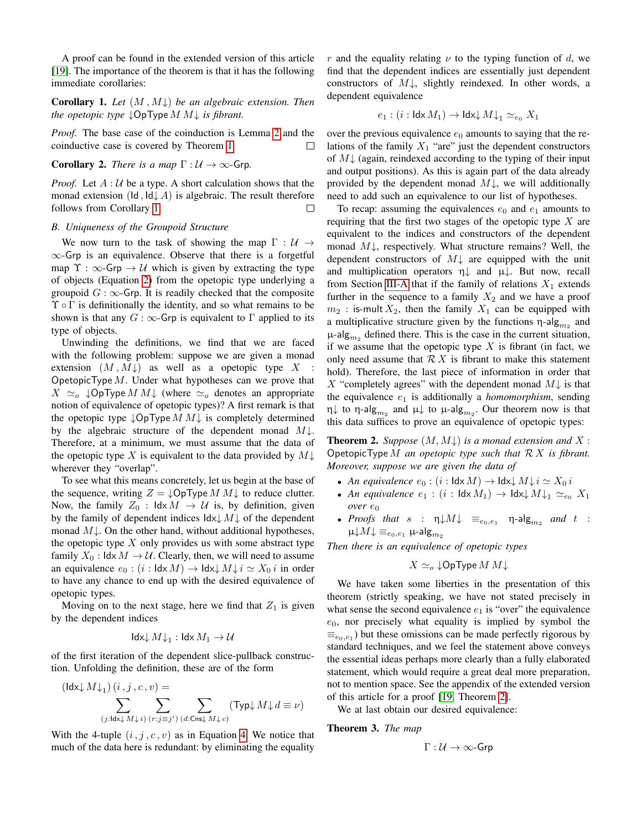A proof can be found in the extended version of this article [\[19\]](#page-13-15). The importance of the theorem is that it has the following immediate corollaries:

<span id="page-12-0"></span>Corollary 1. *Let* (M , M↓) *be an algebraic extension. Then the opetopic type* ↓OpType M M↓ *is fibrant.*

*Proof.* The base case of the coinduction is Lemma [2](#page-11-0) and the coinductive case is covered by Theorem [1.](#page-11-1) П

# **Corollary 2.** *There is a map*  $\Gamma : \mathcal{U} \to \infty$ -Grp.

*Proof.* Let  $A: U$  be a type. A short calculation shows that the monad extension  $(\mathsf{Id}, \mathsf{Id} \downarrow A)$  is algebraic. The result therefore follows from Corollary [1.](#page-12-0)  $\Box$ 

# *B. Uniqueness of the Groupoid Structure*

We now turn to the task of showing the map  $\Gamma : \mathcal{U} \rightarrow$ ∞-Grp is an equivalence. Observe that there is a forgetful map  $\Upsilon$  :  $\infty$ -Grp  $\rightarrow$  U which is given by extracting the type of objects (Equation [2\)](#page-9-1) from the opetopic type underlying a groupoid  $G : \infty$ -Grp. It is readily checked that the composite  $\Upsilon \circ \Gamma$  is definitionally the identity, and so what remains to be shown is that any  $G : \infty$ -Grp is equivalent to  $\Gamma$  applied to its type of objects.

Unwinding the definitions, we find that we are faced with the following problem: suppose we are given a monad extension  $(M, M)$  as well as a opetopic type X OpetopicType  $M$ . Under what hypotheses can we prove that  $X \simeq_o \bigdownarrow$ OpType  $M M \downarrow$  (where  $\simeq_o$  denotes an appropriate notion of equivalence of opetopic types)? A first remark is that the opetopic type  $\downarrow$ OpType M M $\downarrow$  is completely determined by the algebraic structure of the dependent monad  $M\downarrow$ . Therefore, at a minimum, we must assume that the data of the opetopic type X is equivalent to the data provided by  $M\downarrow$ wherever they "overlap".

To see what this means concretely, let us begin at the base of the sequence, writing  $Z = \downarrow$ OpType M  $M \downarrow$  to reduce clutter. Now, the family  $Z_0$  :  $\mathsf{Idx} M \to \mathcal{U}$  is, by definition, given by the family of dependent indices  $\text{Id} \times \downarrow M \downarrow$  of the dependent monad  $M\downarrow$ . On the other hand, without additional hypotheses, the opetopic type  $X$  only provides us with some abstract type family  $X_0$ : Idx  $M \to U$ . Clearly, then, we will need to assume an equivalence  $e_0 : (i : \text{Idx } M) \to \text{Idx} \downarrow M \downarrow i \simeq X_0 i$  in order to have any chance to end up with the desired equivalence of opetopic types.

Moving on to the next stage, here we find that  $Z_1$  is given by the dependent indices

$$
\mathsf{Idx}\!\!\downarrow\! M\!\!\downarrow_1:\mathsf{Idx}\,M_1\to \mathcal{U}
$$

of the first iteration of the dependent slice-pullback construction. Unfolding the definition, these are of the form

$$
(\mathsf{Idx} \downarrow M \downarrow_1) (i, j, c, v) =
$$
  

$$
\sum_{(j: \mathsf{idx} \downarrow M \downarrow i)} \sum_{(r:j \equiv j')} \sum_{(d: \mathsf{Cns} \downarrow M \downarrow c)} (\mathsf{Typ} \downarrow M \downarrow d \equiv v)
$$

With the 4-tuple  $(i, j, c, v)$  as in Equation [4.](#page-1-0) We notice that much of the data here is redundant: by eliminating the equality r and the equality relating  $\nu$  to the typing function of d, we find that the dependent indices are essentially just dependent constructors of  $M\downarrow$ , slightly reindexed. In other words, a dependent equivalence

$$
e_1: (i: \mathsf{Idx}\,M_1) \to \mathsf{Idx}\!\!\downarrow M\!\!\downarrow_1 \simeq_{e_0} X_1
$$

over the previous equivalence  $e_0$  amounts to saying that the relations of the family  $X_1$  "are" just the dependent constructors of  $M\downarrow$  (again, reindexed according to the typing of their input and output positions). As this is again part of the data already provided by the dependent monad  $M\downarrow$ , we will additionally need to add such an equivalence to our list of hypotheses.

To recap: assuming the equivalences  $e_0$  and  $e_1$  amounts to requiring that the first two stages of the opetopic type  $X$  are equivalent to the indices and constructors of the dependent monad  $M\downarrow$ , respectively. What structure remains? Well, the dependent constructors of  $M\downarrow$  are equipped with the unit and multiplication operators  $\eta \downarrow$  and  $\mu \downarrow$ . But now, recall from Section [III-A](#page-9-3) that if the family of relations  $X_1$  extends further in the sequence to a family  $X_2$  and we have a proof  $m_2$ : is-mult  $X_2$ , then the family  $X_1$  can be equipped with a multiplicative structure given by the functions  $\eta$ -alg<sub>m<sub>2</sub></sub> and  $\mu$ -alg<sub>m<sub>2</sub></sub> defined there. This is the case in the current situation, if we assume that the opetopic type  $X$  is fibrant (in fact, we only need assume that  $\mathcal{R} X$  is fibrant to make this statement hold). Therefore, the last piece of information in order that X "completely agrees" with the dependent monad  $M\downarrow$  is that the equivalence  $e_1$  is additionally a *homomorphism*, sending  $η$  to  $η$ -alg<sub>m<sub>2</sub></sub> and  $μ$  to  $μ$ -alg<sub>m<sub>2</sub>. Our theorem now is that</sub> this data suffices to prove an equivalence of opetopic types:

<span id="page-12-1"></span>**Theorem 2.** *Suppose*  $(M, M)$  *is a monad extension and* X : OpetopicType M *an opetopic type such that* R X *is fibrant. Moreover, suppose we are given the data of*

- An equivalence  $e_0 : (i : \text{Idx } M) \to \text{Idx} \downarrow M \downarrow i \simeq X_0 i$
- An equivalence  $e_1 : (i : \text{Idx } M_1) \to \text{Idx} \downarrow M \downarrow_1 \simeq_{e_0} X_1$ *over*  $e_0$
- *Proofs that*  $s$  :  $\eta$  $\downarrow$  $M$  $\downarrow$   $\equiv_{e_0,e_1}$   $\eta$ -alg<sub> $m_2$ </sub> and  $t$  :  $\mathsf{\mu}\mathsf{\downarrow} M \mathsf{\downarrow} \equiv_{e_0,e_1} \mathsf{\mu}\text{-}\mathsf{alg}_{m_2}$

*Then there is an equivalence of opetopic types*

$$
X \simeq_o \downarrow \mathsf{OpType}\,M\,M\downarrow
$$

We have taken some liberties in the presentation of this theorem (strictly speaking, we have not stated precisely in what sense the second equivalence  $e_1$  is "over" the equivalence  $e_0$ , nor precisely what equality is implied by symbol the  $\equiv_{e_0,e_1}$ ) but these omissions can be made perfectly rigorous by standard techniques, and we feel the statement above conveys the essential ideas perhaps more clearly than a fully elaborated statement, which would require a great deal more preparation, not to mention space. See the appendix of the extended version of this article for a proof [\[19,](#page-13-15) Theorem [2\]](#page-12-1).

We at last obtain our desired equivalence:

# Theorem 3. *The map*

$$
\Gamma: \mathcal{U} \to \infty\text{-}\mathsf{Grp}
$$